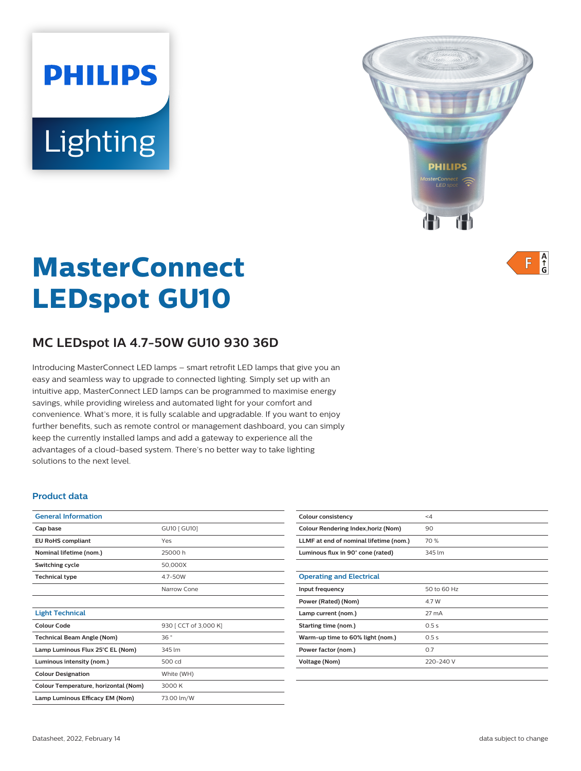# **PHILIPS** Lighting



 $A$ <sub> $\uparrow$ </sub> F

# **MasterConnect LEDspot GU10**

# **MC LEDspot IA 4.7-50W GU10 930 36D**

Introducing MasterConnect LED lamps – smart retrofit LED lamps that give you an easy and seamless way to upgrade to connected lighting. Simply set up with an intuitive app, MasterConnect LED lamps can be programmed to maximise energy savings, while providing wireless and automated light for your comfort and convenience. What's more, it is fully scalable and upgradable. If you want to enjoy further benefits, such as remote control or management dashboard, you can simply keep the currently installed lamps and add a gateway to experience all the advantages of a cloud-based system. There's no better way to take lighting solutions to the next level.

#### **Product data**

| <b>General Information</b>           |                       |  |
|--------------------------------------|-----------------------|--|
| Cap base                             | GU10 [ GU10]          |  |
| <b>EU RoHS compliant</b>             | Yes                   |  |
| Nominal lifetime (nom.)              | 25000 h               |  |
| Switching cycle                      | 50,000X               |  |
| <b>Technical type</b>                | 4.7-50W               |  |
|                                      | Narrow Cone           |  |
|                                      |                       |  |
| <b>Light Technical</b>               |                       |  |
| Colour Code                          | 930 [ CCT of 3,000 K] |  |
| <b>Technical Beam Angle (Nom)</b>    | 36°                   |  |
| Lamp Luminous Flux 25°C EL (Nom)     | 345 lm                |  |
| Luminous intensity (nom.)            | 500 cd                |  |
| <b>Colour Designation</b>            | White (WH)            |  |
| Colour Temperature, horizontal (Nom) | 3000 K                |  |
| Lamp Luminous Efficacy EM (Nom)      | 73.00 lm/W            |  |

| Colour consistency                     | $\leq 4$    |
|----------------------------------------|-------------|
| Colour Rendering Index, horiz (Nom)    | 90          |
| LLMF at end of nominal lifetime (nom.) | 70 %        |
| Luminous flux in 90° cone (rated)      | 345 lm      |
|                                        |             |
| <b>Operating and Electrical</b>        |             |
| Input frequency                        | 50 to 60 Hz |
| Power (Rated) (Nom)                    | 4.7 W       |
| Lamp current (nom.)                    | 27 mA       |
| Starting time (nom.)                   | 0.5s        |
| Warm-up time to 60% light (nom.)       | 0.5s        |
| Power factor (nom.)                    | 0.7         |
| Voltage (Nom)                          | 220-240 V   |
|                                        |             |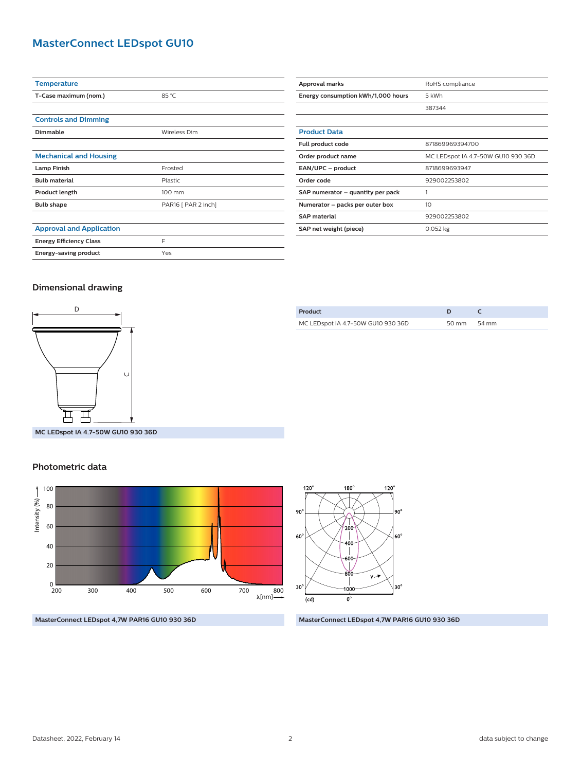## **MasterConnect LEDspot GU10**

| <b>Temperature</b>              |                     |  |
|---------------------------------|---------------------|--|
| T-Case maximum (nom.)           | 85 °C               |  |
|                                 |                     |  |
| <b>Controls and Dimming</b>     |                     |  |
| <b>Dimmable</b>                 | Wireless Dim        |  |
|                                 |                     |  |
| <b>Mechanical and Housing</b>   |                     |  |
| <b>Lamp Finish</b>              | Frosted             |  |
| <b>Bulb material</b>            | Plastic             |  |
| Product length                  | 100 mm              |  |
| <b>Bulb shape</b>               | PAR16 [ PAR 2 inch] |  |
|                                 |                     |  |
| <b>Approval and Application</b> |                     |  |
| <b>Energy Efficiency Class</b>  | E                   |  |
| Energy-saving product           | Yes                 |  |

| Approval marks                     | RoHS compliance                    |  |
|------------------------------------|------------------------------------|--|
| Energy consumption kWh/1,000 hours | 5 kWh                              |  |
|                                    | 387344                             |  |
|                                    |                                    |  |
| <b>Product Data</b>                |                                    |  |
| Full product code                  | 871869969394700                    |  |
| Order product name                 | MC LEDspot IA 4.7-50W GU10 930 36D |  |
| EAN/UPC - product                  | 8718699693947                      |  |
| Order code                         | 929002253802                       |  |
| SAP numerator - quantity per pack  |                                    |  |
| Numerator - packs per outer box    | 10                                 |  |
| <b>SAP</b> material                | 929002253802                       |  |
| SAP net weight (piece)             | $0.052$ kg                         |  |

#### **Dimensional drawing**



| Product                            |             |  |
|------------------------------------|-------------|--|
| MC LEDspot IA 4.7-50W GU10 930 36D | 50 mm 54 mm |  |
|                                    |             |  |

**MC LEDspot IA 4.7-50W GU10 930 36D**

#### **Photometric data**





**MasterConnect LEDspot 4,7W PAR16 GU10 930 36D MasterConnect LEDspot 4,7W PAR16 GU10 930 36D**